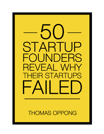

**THOMAS OPPONG**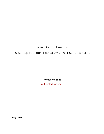Failed Startup Lessons.

# 50 Startup Founders Reveal Why Their Startups Failed

**Thomas Oppong**

[Alltopstartups.com](http://alltopstartups.com/)

**May , 2015**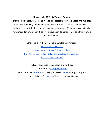#### **Uncopyright 2015. By Thomas Oppong**

This ebook is uncopyrighted. Feel free to take passages from this ebook and replicate them online. Use my content however you want! Email it, share it, reprint it with or without credit. Attribution is appreciated but not required. If someone wants to take my work and improve upon it, as artists have been doing for centuries, I think that's a wonderful thing.

> Other books by Thomas Oppong (Available on Amazon) Start. Make. [Create.](http://www.amazon.com/dp/B00X64J9H2) Do. Don't Start a [Business,](http://www.amazon.com/dp/B00LH45TMC) Solve a Problem How To Find Your Million Dollar Business Idea This [Weekend](http://www.amazon.com/dp/B00XIQ26E6) Idea To Startup [Growth](http://www.amazon.com/dp/B00X7NAFCU)

I also exist outside of this ebook and my blog. Contributor at [Entrepreneur.com](http://www.entrepreneur.com/author/thomas-oppong) Get to know me: **[Facebook](https://www.facebook.com/thomas.oppong)** (Follow my updates), **[Twitter](https://twitter.com/Alltopstartups)** (Mostly startup and productivity tweets), **[LinkedIn](http://www.linkedin.com/in/thomasoppong)** (Strictly business updates).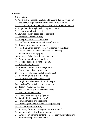## **Content**

[Introduction](#page-5-0)

- 1. Pingjam (a [monetization](#page-7-0) solution for Android app developers)
- 2. [StartupSQUARE](#page-7-1) (a platform for helping entrepreneurs)
- 3. Cusoy [\(restaurant](#page-8-0) meal planner based on your dietary needs)
- 4. Unifyo (a tool for high [performing](#page-8-1) sales team)
- 5. Everpix (photo hosting [service\)](#page-9-0)
- 6. Gowalla [\(location-based](#page-9-1) social network)
- 7. Sonar (social [discovery](#page-9-2) app)
- 8. [Formspring](#page-10-0) (Q&A social network)
- 9. EventVue (online community for [conferences\)](#page-10-1)
- 10. Devver [\(developer](#page-10-2) coding tools)
- 11. FindIt [\(universal](#page-10-3) search across files stored in the cloud)
- 12. Canvas Networks [\(image-centric](#page-11-0) social website)
- 13. Blurtt (photo [sharing](#page-11-1) app )
- 14. Admazely [\(advertising](#page-11-2) for web shops)
- 15. Pumodo (mobile sports [platform\)](#page-11-3)
- 16. Dijiwan (digital [marketing](#page-11-4) company)
- 17. Prim (laundry [delivery\)](#page-12-0)
- 18. InBloom (student data [management\)](#page-12-1)
- 19. Outbox (mail [digitizing](#page-13-0) service)
- 20. Argyle (social media [marketing](#page-13-1) software)
- 21. [Bloom.fm](#page-13-2) (mobile music service)
- 22. Stipple [\(Image-tagging](#page-14-0) advertising)
- 23. Delight [\(usability](#page-14-1) testing for mobile apps)
- 24. How.Do (DIY crafts ideas and [projects\)](#page-14-2)
- 25. [Readmill](#page-14-3) (social reading app)
- 26. Plancast (social site for [planning](#page-15-0) events)
- 27. Flud (social news [reader\)](#page-15-1)
- 28. [DrawQuest](#page-15-2) (drawing app / game)
- 30. Standout Jobs [\(recruiting](#page-16-0) portal)
- 32. Flowtab (mobile drink [ordering\)](#page-16-1)
- 33. Shnergle (real time [reconnaissance](#page-17-0) platform)
- 34. YouCastr (video [platform\)](#page-17-1)
- 35. Admazely (tools for re-targeting [advertisement\)](#page-17-2)
- 36. Meetro [\(multi-network](#page-18-0) social messenger)
- 37. eCrowds (on-demand [content-centered](#page-18-1) community platform)
- 38. Backfence [\(hyperlocal](#page-18-2) news sites)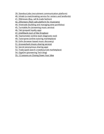39. Standout Jobs (recruitment [communication](#page-19-0) platform)

40. Inhabi (a [matchmaking](#page-19-1) service for renters and landlords)

41. [99dresses](#page-19-2) (Buy, sell & trade fashion)

42. Zillionears (flash sale platform for [musicians\)](#page-20-0)

44. Vinetrade (building and managing wine [portfolios\)](#page-20-1)

45. [Turntable.fm](#page-21-0) (streaming music service)

46. Tab [\(prepaid](#page-21-1) loyalty app)

47. [Intellibank](#page-22-0) (sort of like Dropbox)

48. [Teamometer](#page-22-1) (online team diagnostic tool)

49. Tutorspree (online tutoring [marketplace\)](#page-22-2)

50. Exfm [\(browser-based](#page-23-0) music discovery)

51. Grooveshark [\(music-sharing](#page-23-1) service)

52. Secret [\(anonymous](#page-23-2) sharing app)

53. Trada (paid search [crowdsourced](#page-24-0) marketplace)

54. GigaOm [\(pioneering](#page-24-1) Tech blog)

55. 12 [Lessons](#page-25-0) on Closing Down Your Idea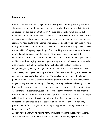#### <span id="page-5-0"></span>**Introduction**

Failure sucks. Startups are dying in numbers every year. Greater percentage of them shutdown and the founders move on to something else. The good thing is that most entrepreneurs don't give up that easily. You can easily start a new business but maintaining it is where the real deal is. These reasons are common with failed startups or those that are about to die: we need more money, we need more traction, we need growth, we need to start making money or else..., we don't have enough buzz, we have management issues and founders have lost interest in the idea. Startups need to have the same kind of urgency to get things off and working as soon as possible, otherwise doomsday will be closer than they think. The money of your customers is the life-blood of your business. Not the money of investors. Not the money of your family or friends. Without paying customers, your startup starves, suffocates and eventually dies by suicide. Justin Kan, the founder of Justin.tv and Socialcam, wrote an enlightening essay a few years ago about how startups don't die, they commit suicide. In this essay, Justin gave an example of AirBnB founders Brian Chesky and Joe Gebbia, who tried to make AirBnB work for years. They racked up thousands of dollars of personal credit card debt. It wasn't until they got into YCombinator and really focused on generating revenue and hitting profitability that they really started seeing product traction. Here is why greater percentage of startups are more likely to commit suicide. 1. They lack product traction. Justin writes, "When startups commit suicide, often the root problem can be traced back to a lack of product traction — it's rare to find people willingly quitting companies with exploding metrics. But one thing that many entrepreneurs don't realize is that patience and iteration are critical in achieving product market fit. Overnight successes might happen fast, but they never actually happen overnight."

2. Many have plans with no visions. Many products have plans but few have visions. They have endless lists of features and capabilities but no unifying vision that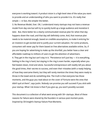everyone is working toward. A product vision is a high-level view of the value you want to provide and an understanding of who you want to provide it to. It's really that simple — in fact, the simpler the better.

3. No Revenue Model, Ever. OK, I understand many startups may not have a revenue model from day one but will try to quickly build up a large audience and monetize it later. But, there better be a clearly communicated revenue plan for when that day happens down the road..and that day will definitely come. And, that revenue plan needs to be material enough, based on credible assumptions, to make it enticing for an investors to get excited and to justify your current valuation. For some products, consumers will never pay for them based on free alternatives available online. So, if you are hoping for advertising to make up the shortfall, you better have a clear and affordable roadmap to millions of users to get the attention of advertisers.

4. They get in the ring but can't stay in it. "Persistence isn't just key — it is everything. Getting in the ring is hard, but staying in the ring is even harder, especially when you feel beaten down, tired and alone. Successful entrepreneurs will readily tell you about the good times, their secrets to success, and even their mistakes (with a ready helping of how they overcame them), but they will rarely mention the times they were ready to throw in the towel and do something else. The truth is that everyone has those moments, and the guys you read about on the cover of Fortune were the ones that didn't quit at them", says Justin. Nobody can promise you will succeed if you stick with your startup. What I do know is that if you give up, you won't possibly succeed.

This document is a collection of what went wrong with 50+ startups. Most of these reasons for failure were shared by the founders in various post mortem posts. Inspired by CB Insight's Startup Failure Post-Mortems.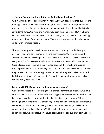#### <span id="page-7-0"></span>**1. Pingjam (a monetization solution for Android app developers)**

Within 6 months of our public launch we had: Over 6,500 apps integrated our SDK into their apps. A run rate of over \$500k earnings for year 1. 60% monthly growth rate in users and revenue. We had bootstrapped our company to that point and hadn't raised any external funds. We were one month away from "Ramen profitability". It all came crashing down in November. On November 1st Google Play kicked out over 1,000 apps that worked with us from their app store. That was the beginning of the tailspin that's ending with our closing today.

Throughout our product development process, we constantly consulted Google developer relations, sales teams, marketing, technical, etc'. We were consistently assured that we are fully compliant with Google's Play store terms which governs our ecosystem. Our EULA was written by a senior Google employee and at the time that Google kicked us out – we were being hosted at one of their incubating facilities. Google proceeded to send threatening emails to our remaining developers that unless they stop working with us their apps would be banned. They even kicked out apps that hadn't worked with us in 3 months. Don't operate in a market where a single player can arbitrarily decide to kill you.

## <span id="page-7-1"></span>**2. StartupSQUARE (a platform for helping entrepreneurs)**

We've demonstrated that there is significant demand for this type of service, we have 46% product / market fit based on Sean Ellis' suggested measurement method, and we have users so enthusiastic about the idea that they just send us money. Still we're shutting it down. One thing that came up again and again in our discussions is that we were trying to do too much at once given our resources. By trying to tackle too much at once, we bypassed our Minimum Viable Product by several orders of magnitude and in doing so, we didn't focus on enough basic value to keep our users coming back.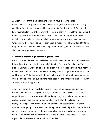## <span id="page-8-0"></span>**3. Cusoy (restaurant meal planner based on your dietary needs)**

I didn't want a startup, but an actual business that generates revenue, and Cusoy would not fulfill that personal goal for me without a full-time team, 1-2+ years of funding, multiple years of hard work (3-5+ years at the very least?) trying to answer the if/when questions of whether or not Cusoy could make money (very expensive questions too, might I add — not only in money but time, my most valuable asset). While I know there might be a possibility I could hustle incredibly hard and try to set up partnerships, the time investment required far outweighed the already incredibly slim chances of generating revenue.

#### <span id="page-8-1"></span>**4. Unifyo (a tool for high performing sales team)**

We built a 7 people team and increased our total investment amount to \$700,000 in total, adding investors like Seedcamp, EC1 Capital, Firestartr, Angellab and Tom Blackie. Ultimately Unifyo failed to find a product market fit and should have not tried to overstretch the technical possibilities of being able to support different email clients and browsers. We had deployed solutions in big professional services companies to even a Fortune 500 bank, but ultimately did not have the bandwidth to succeed with an enterprise sales approach.

Apart from committing typical startup sins like not being focused enough and occasionally trying to scale prematurely, we learned a ton of lessons. We couldn't empathize with big corporations and heard only scary things about the long sales cycles. However, every company we have kept track of in the 'relationship management' space has either shut down or moved at least into the B2B space (as opposed to targeting consumers). Even though we felt we had product market fit with an amazing user experience in demos, in practice our tool mostly underwhelmed users — and there was no easy way to test and plan for all the edge cases with organic data that was out there and always evolving.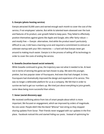#### <span id="page-9-0"></span>**5. Everpix (photo hosting service)**

Everpix attracted 55,000 users and earned enough each month to cover the cost of the service, if not employees' salaries. But while its talented team obsessed over the look and features of its product, user growth failed to keep pace. They failed to effectively position themselves against giants like Apple and Google, who offer fairly robust and mostly free — Everpix alternatives. And while the product wasn't particularly difficult to use, it did have a learning curve and required a commitment to entrust an unknown startup with your life's memories — a hard sell that Everpix never got around to making much easier. Everpix is in the process of selling off its technology in order to cover the costs of ending the service.

#### <span id="page-9-1"></span>**6. Gowalla (location-based social network)**

While Gowalla continued to grow, the trajectory was not what it needed to be. At least not in terms of winning the game we had chosen to play. We were the younger, prettier, but less popular sister of Foursquare. And even that had changed. In time, Foursquare had dramatically improved the design and experience of its service. This was no longer a defensible platform for us as a company. We felt that in order to survive we had to get our numbers up. We tried just about everything to juice growth, some ideas being more successful than others.

## <span id="page-9-2"></span>**7. Sonar (social discovery app)**

We received conflicting advice from lots of smart people about which is more important. We focused on engagement, which we improved by orders of magnitude. No one cared. People didn't like the bland "@Sonar" text string so they stopped sharing updates from Sonar. Their friends never engaged with our updates in the first place. Facebook noticed this and started hiding our posts. Instead of optimizing for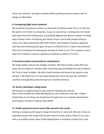actual user behavior, we spent countless white boarding sessions trying in vain to design an alternative.

## <span id="page-10-0"></span>**8. Formspring (Q&A social network)**

We protected anonymous content to a fault and out follow-model shot us in the foot. We spent a lot of time on anonymity. It was our sacred cow. Looking back, we should have spent that time finding ways to gracefully degrade that feature instead of finding ways to keep it alive. Formspring had clearly struck a chord with people aching to share more about themselves with their friends. And instead of making it apparent that they were achieving their goal, we put an artificial barrier in place and prevented them from knowing if Formspring was working for them or not. The company raised a total of \$14 million in venture capital and shutdown on March 31st 2013.

## <span id="page-10-1"></span>**9. EventVue (online community for conferences)**

We made deadly cultural and strategic mistakes. We tried to build a sales effort too early, with too weak of a product after initial financing and waited too long to address the "nice to have" problem. We didn't make Eventvue self-serve to let anyone come and get it. We didn't focus on learning & failing fast until it was too late. And didn't care/focus enough about discovering how to market eventvue.

## <span id="page-10-2"></span>**10. Devver (developer coding tools)**

We focused on engineering first and customer development second. Most of the mistakes we made developing our test accelerator and, later, Caliper boiled down to one thing: we should have focused more on customer development and finding a minimum viable product (MVP).

## <span id="page-10-3"></span>**11. FindIt (universal search across files stored in the cloud)**

Starting a company and trying to change the world is no easy task. We had a vision to empower people with simple and intuitive search on their phone. Many of our users told us incredible stories about FindIt helping them in moments of need, but in the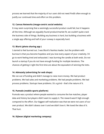process we learned that the majority of our users did not need FindIt often enough to justify our continued time and effort on this problem.

## <span id="page-11-0"></span>**12. Canvas Networks (image-centric social website)**

It may seem surprising that a seemingly successful product could fail, but it happens all the time. Although we arguably found product/market fit, we couldn't quite crack the business side of things. Building any business is hard, but building a business with a single app offering and half of your runway is especially hard.

## <span id="page-11-1"></span>**13. Blurtt (photo sharing app )**

I started to feel burned out. I was Blurtt's fearless leader, but the problem with burnout is that you become hopeless and you lose every aspect of your creativity. I'd go to work feeling tired and exhausted. I was burning the candle at both ends. Do not launch a startup if you do not have enough funding for multiple iterations. The chances of getting it right the first time are about the equivalent of winning the lotto.

## <span id="page-11-2"></span>**14. Admazely (advertising for web shops)**

We ran out of funding and didn't manage to raise more money. We had product problems. We had sales and marketing problems. We had people problems. We had process problems. Startups have problems. It's a grind - that's the nature of it.

# <span id="page-11-3"></span>**15. Pumodo (mobile sports platform)**

Pumodo was a product where people wanted to consume the live matches, player data and history but players didn't want to supply it. The reward wasn't high enough compared to the effort. Our biggest self-realization was that we were not users of our own product. We didn't obsess over it and we didn't love it. We loved the idea of it. That hurt.

# <span id="page-11-4"></span>**16. Dijiwan (digital marketing company)**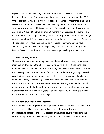Dijiwan raised 0.5M€ in January 2012 from French public investors to develop its business within a year. Djiwan requested bankruptcy protection in September 2012. One of the failures was clearly the will to spend all the money rather than to spend it wisely. The primary objective should have been to generate more revenues or to sustain the innovation — if it broadens the business reach and simplifies customers acquisition. Around 600K€ were burnt in 6 months if you consider the revenues and the funding. For a 10 people company, this is a lot! We granted a lot of discounts to get customers on board. For the sake of signing new and more cyclic contracts afterwards. The contracts never happened. We built a nice piece of software. But we never acquired any additional customers by polishing a line of code or by adding a new feature. Because those lines of code never faced anyone willing to sign a check.

## <span id="page-12-0"></span>**17. Prim (laundry delivery)**

The YCombinator-backed laundry pick-up and delivery business barely lasted seven months. Prim tried to be the Uber for people with dirty clothes: It was a marketplace that enabled easy payments, pick-ups, processing and delivery. When Prim shuttered, it was seeing 1,000 pounds of clothes from 40 clients a day — and growing. The real issue had been working with laundromats — the smaller ones couldn't handle much additional laundry, while the larger ones often offered delivery service on their own. We realized that for us to have a sustainable source of supply, we'd need to go and open our own laundry facilities. Running our own laundromats still would have made a profitable business in five to 10 years, with revenues of \$10 million to \$15 million, but it was a direction we didn't want to go.

#### <span id="page-12-1"></span>**18. InBloom (student data management)**

It is a shame that the progress of this important innovation has been stalled because of generalized public concerns about data misuse. In New York, these misunderstandings led to the recent passage of legislation severely restricting the education department from contracting with outside companies like inBloom for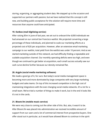storing, organizing, or aggregating student data. We stepped up to the occasion and supported our partners with passion, but we have realized that this concept is still new, and building public acceptance for the solution will require more time and resources than anyone could have anticipated.

## <span id="page-13-0"></span>**19. Outbox (mail digitizing service)**

After raising \$5m in June of last year, we set out to onboard the 4,000 individuals we had amassed on our central-San Francisco waitlist. We projected converting a large percentage of these individuals, and planned to scale our marketing efforts at a projected cost of \$20 per acquisition. However, after an extensive email marketing campaign to our waitlist, total yield from the waitlist was under 10 percent. And as we started marketing outside of this network, we had difficulty finding a repeatable and scalable acquisition channel. Our monthly operating deficits were too high, and even though we continued to get better at acquisition, each small success actually saw our cash curve decline further because our density remained flat.

## <span id="page-13-1"></span>**20. Argyle (social media marketing software)**

We made a good go of it, for sure. But today's social media management space is becoming more and more dominated by large companies with very large marketing budgets and sales teams. On top of this increased competition is the high cost of maintaining integrations with the ever-changing social media networks. It's a lot for a small team. We've tried a number of things to make it work, but in the end it looks like it's not in the cards.

## <span id="page-13-2"></span>**21. Bloom.fm (mobile music service)**

We were very close to coming out the other side of this. But, alas, it wasn't to be. After Bloom.fm was placed into administration we received incredible amount of support from our users and a lot of commercial interest from prospective buyers. One offer stood out in particular, as it would have allowed Bloom to continue in the spirit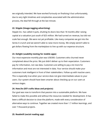we originally intended. We have worked furiously on finalising it but unfortunately, due to very tight timelines and complexities associated with the administration process, the deal fell through at the last minute.

## <span id="page-14-0"></span>**22. Stipple (Image-tagging advertising)**

Stipple Inc. has called it quits, shutting its doors less than 18 months after raising capital at a valuation just south of \$25 million. We had turned on revenue, but did not scale fast enough. We were not yet profitable. Like many companies we got into the Series A crunch and we weren't able to raise more money. We simply weren't able to get dollars flowing from the marketplace to line up with our expense structure.

## <span id="page-14-1"></span>**23. Delight (usability testing for mobile apps)**

Our most expensive monthly plan was US\$300. Customers who churned never complained about the price. We just didn't deliver up to their expectation. Customers pay for information, not raw data. Customers are willing to pay a lot more for information and most are not interested in data. Your service should make your customers look intelligent in front of their stakeholders. Follow up with inactive users. This is especially true when your service does not give intermediate values to your users. Our system should have been smarter about checking up on our users at various stages.

## <span id="page-14-2"></span>**24. How.Do (DIY crafts ideas and projects)**

Our goal was now to transform that passion into a sustainable platform. We have failed to make this possible and without the resources needed for development. It has been a difficult decision to close the platform, made with every consideration of alternative ways to continue. Together we created more than 1.7 million learnings, and over 7 thousand projects.

## <span id="page-14-3"></span>**25. Readmill (social reading app)**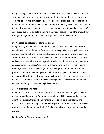Many challenges in the world of ebooks remain unsolved, and we failed to create a sustainable platform for reading. Unfortunately, it is not possible to sell books on Apple's platform at a competitive price. We also considered the book subscription model but did not find it to be a viable option for us. Finally, even if all users paid for the app, it would not provide the necessary resources to sustain and develop it. We considered every option before making the difficult decision to end the product that brought us together. Readmill was subsequently acquired by Dropbox.

## <span id="page-15-0"></span>**26. Plancast (social site for planning events)**

Along the way my team built a minimum viable product, launched from obscurity, raised a seed round of funding from local venture capitalists and angel investors, and worked like mad to translate our initial success into long-term growth, engagement and monetization. Alas, our efforts began to stall after several months post-launch, and we were never able to scale beyond a small early adopter community and into critical, mainstream usage. While the initial launch and traction proved extremely exciting, it misled us into believing there was a larger market ready to adopt our product. Over the subsequent year and a half, we struggled to refine the product's purpose and bolster its central value proposition with better functionality and design, but we were ultimately unable to make it work (with user registration growth and engagement being our two main high-level metrics).

## <span id="page-15-1"></span>**27. Flud (social news reader)**

It was also a surprising conclusion, considering that Flud had managed to raise \$2.1 million in seed financing. In fact what eventually killed Flud, was that the company wasn't able to raise this additional funding. Despite multiple approaches and incarnations — including a pivot toward enterprise — in pursuit of the ever elusive product-market fit (and monetization), Flud eventually ran out of money — and a runway.

## <span id="page-15-2"></span>**28. DrawQuest (drawing app / game)**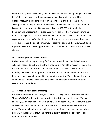No soft landing, no happy ending—we simply failed. It's been a long four year journey, full of highs and lows. I am simultaneously incredibly proud, and incredibly disappointed. I'm incredibly proud of an amazing team and all that they have accomplished. In the past year it's been downloaded more than 1.4 million times, and is currently used by about 25,000 people a day, and 400,000 last month alone. Retention and engagement are great. And yet we still failed. It may seem surprising that a seemingly successful product could fail, but it happens all the time. Although we arguably found product/market fit, we couldn't quite crack the business side of things. As we approached the end of our runway, it became clear to us that DrawQuest didn't represent a venture-backed opportunity, and even with more time that was unlikely to change.

## <span id="page-16-0"></span>**30. Standout Jobs (recruiting portal)**

I raised too much money, too early for Standout Jobs (~\$1.8M). We didn't have the validation needed to justify raising the money we did. Part of the reason for this is that the founding team couldn't build an MVP on its own. That was a mistake. If the founding team can't put out product on its own (or with a small amount of external help from freelancers) they shouldn't be founding a startup. We could have brought on additional co-founders, who would have been compensated primarily with equity versus cash, but we didn't.

## <span id="page-16-1"></span>**32. Flowtab (mobile drink ordering)**

We hired a local operations manager in Denver (Sasha Juliard) and soon launched at Shotgun Willie's (the highest-grossing strip club in CO) and two other bars. We made about \$1,200 on each deal (50% went to DexOne, we spent \$800 on each launch event and we had \$500 in hardware costs), this was the only sales revenue Flowtab ever made. We were tightening up our sales process, but it was hard to market ourselves properly in those bars without being there. It quickly become a distraction to our operations in San Francisco.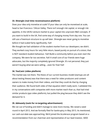## <span id="page-17-0"></span>**33. Shnergle (real time reconnaissance platform)**

Does your idea only monetise at scale? If your idea can only be monetised at scale, head to San Francisco / Silicon Valley. There isn't enough risk capital, or enough risk appetite, in the UK/EU venture market to pour capital into unproven R&D concepts. If you want to build in the UK, find some way of charging money from day one. You can still use a freemium structure to up-sell later. Shnergle was never going to monetise before it had scaled fairly significantly. Fail!

We thought we had validation of the student market from our developers; we didn't. They worked crazy hours for very little return, based purely on pursuit of a vision; that is NOT standard student behaviour. Fail! Build a community before you even start the company. We were far too secretive. Fail! A small core of our friends were huge advocates, but the majority completely ignored Shnergle. It's not personal; they just weren't buying what we were selling….even for free! Fail!

## <span id="page-17-1"></span>**34. YouCastr (video platform)**

The market was not there. The thesis of our current business model (startups are all about testing theses) was that there was a need for video producers and content owners to make money from their videos, and that they could do that by charging their audience. We found both sides of that equation didn't really work. I validated this in my conversations with companies with more market reach than us, that had tried similar products (ppv video platform), but pulled the plug because they didn't see the demand for it.

## <span id="page-17-2"></span>**35. Admazely (tools for re-targeting advertisement)**

We ran out of funding and didn't manage to raise more money. We raised a seed round in April 2012. And we formally filed for bankruptcy in May 2013. As mentioned, our cash-out-date was approaching. We'd joined the Accelerace program based on a recommendation from our chairman and representative of our lead investor, SEED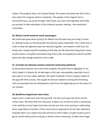Capital. The program does a lot of good things. The reason we joined was that it has a loan option for program alumni companies. The people in the program has to recommend you, you jump through a few hoops, you pitch and negotiate and finally you present to their equivalent of the infamous partner meeting - the Investment Committee.

## <span id="page-18-0"></span>**36. Meetro (multi-network social messenger)**

We could have gone about trying to fix Meetro but the team was just ready to move on. Raising money on the flat growth we had was nearly impossible. Plus I knew that in order to keep the tight-knit team we had built together, we needed to shift focus for sanity sake. People (myself included) just felt beat up. We knew that fixing these issues would involve a complete rearchitecturing of the code, and people just weren't excited about the idea enough anymore to do it right.

## <span id="page-18-1"></span>**37. eCrowds (on-demand content-centered community platform)**

As the product became more and more complex, the performance degraded. In my mind, speed is a feature for all web apps so this was unacceptable, especially since it was used to run live, public websites. We spent hundreds of hours trying to speed of the app with little success. This taught me that we needed to having benchmarking tools incorporated into the development cycle from the beginning due to the nature of our product.

## <span id="page-18-2"></span>**38. Backfence (hyperlocal news sites)**

Hyper-local is really hard. Don't kid yourself. You don't just open the doors and hit critical mass. We knew that from the jump. It takes a lot of work to build a community. Look carefully at most hyper-local sites and see just how much posting is really being done, especially by members of the community as opposed to be the sites' operators. Anybody who's run a hyper-local site will tell you that it takes a couple of years just to get to a point where you've truly got a vibrant online community. It takes even longer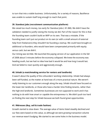to turn that into a viable business. Unfortunately, for a variety of reasons, Backfence was unable to sustain itself long enough to reach that point.

## <span id="page-19-0"></span>**39. Standout Jobs (recruitment communication platform)**

We raised too much money, too early for Standout Jobs (~\$1.8M). We didn't have the validation needed to justify raising the money we did. Part of the reason for this is that the founding team couldn't build an MVP on its own. That was a mistake. If the founding team can't put out product on its own (or with a small amount of external help from freelancers) they shouldn't be founding a startup. We could have brought on additional co-founders, who would have been compensated primarily with equity versus cash, but we didn't.

Our timing was terrible. We launched the paying version of our application in the fall of 2008 about 5 minutes before the economy collapsed. We knew the economy was heading south, but we had no idea how bad it would be and how long it would last. And we failed to react quickly and aggressively enough.

## <span id="page-19-1"></span>**40. Inhabi (a matchmaking service for renters and landlords)**

It wasn't about the quality of the cofounders' working relationship. Inhabi had always been self-funded, so the matter at hand was of a more practical nature. We weren't really listening to our customers enough along the way. Inhabi should have focused on the lower-tier landlords, or those who have a harder time finding tenants, rather than the high-end landlords. Sometimes businesses are not supposed to work and it has nothing to do with how smart or capable the entrepreneur is. We didn't push too hard on finding the next step for Inhabi because we both found great opportunities.

## <span id="page-19-2"></span>**41. 99dresses (Buy, sell & trade fashion)**

Growth started to slow down. The average value of items listed steadily declined and our fees were based on this value, so although we were growing transaction volume our revenue wasn't budging. We started to see some holes in the business model.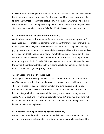Whilst our retention was great, we worried about our activation rate. We only had one institutional investor in our previous funding round, and I was so relieved when they told me they wanted to lead this bridge. Boom! It looked like we were going to live to see another day. It's incredibly frustrating to try and try and try, and when you finally start to get some good traction you fall off a cliff. Our business still had problems.

## <span id="page-20-0"></span>**42. Zillionears (flash sale platform for musicians)**

Our first beta test was a disaster when Amazon (who was our payment processor) suspended our account for not complying with money transfer issues. Fans were able to participate in the sale, but we were unable to capture their billing. We ended up paying the artist out of our own pocket and giving everyone his music for free (and we never told him that happened until now). From that beta test we found out that our software needed to be rewritten to comply with Amazons terms. More importantly though, people really didn't really LIKE anything about our product. No one that used the service thought it was that cool. In fact, some people that participated in the sale didn't even like our "dynamic pricing" system.

## **43. Springpad (one-time Evernote rival)**

The six-year-old Boston company, which raised more than \$7 million, had around 400,000 people using its digital notebooks to save tasks, notes, checklists, and more. There was a need for people to store their stuff and sync it across multiple devices. But that does not a business make. We built a cool product, but we didn't build a business. Do you build a user base and then worry about making money, or vice versa? We went back and forth. But unfortunately we didn't grow fast enough to roll out an ad-support model. We were not able to secure additional funding or scale to become a self-sustaining business.

## <span id="page-20-1"></span>**44. Vinetrade (building and managing wine portfolios)**

We had raised a seed round from some reputable investors on the back of small, but decent, early traction. Unfortunately, over time we found that while people used the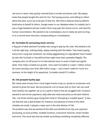site once or twice, they quickly reverted back to emails and phone calls. We always knew that people bought this wine for fun. The buying process, and talking to others about the wine, turns out to be part of that fun. We tried to abstract these problems (hold wine on behalf of others, change owner in our database when it's traded), but it was a huge headache and we couldn't find a way past the human errors, and need for human reconciliation. We wanted to be a marketplace, but in reality we were turning in to a normal wine merchant, masquerading as a marketplace.

#### <span id="page-21-0"></span>**45. Turntable.fm (streaming music service)**

A big part of what doomed Turntable was trying to play by the rules. We wanted to do it all the right way, nothing shady, always working with the labels. That meant paying every time a song was streamed, not simply piggybacking on copyrighted music hosted by sites like YouTube or SoundCloud that might have been uploaded illegally. The company also cut off access to its international users in areas it hadn't yet signed deals. That really curtailed our growth. Fans used Turntable to create 1 million virtual DJ rooms and play more than 400 million songs — but it hasn't made for much of a business. At the height of its popularity, Turntable raised \$7.5 million.

## <span id="page-21-1"></span>**46. Tab (prepaid loyalty app)**

We raised seed money from a local angel investor early on, joined an accelerator and started to grow the team. We encountered a lot of issues that on their own we could have tackled, but together set us on a path to failure that we struggled with. Investors wanted to see former payments, daily deal and retail executives as the team behind Tab—not three random guys trying their hand at "disrupting a crowded space". It was not that this was a deal breaker for investors, but because of some of the other mistakes we made, it played a major part in the slow demise of Tab. The problem was that we wanted all the bells and whistles from day one: payment processing, account profiles, multiple locations, transaction histories, email receipts

and more. The result was that we ended up building something completely different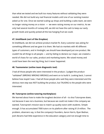than what we tested and we built too many features without validating they were needed. We did not build any real financial models until one of our existing investor asked us for one. Once we started scaling-up shops and building a sales team, we were no longer raising money on a vision — we were raising money on our metrics. As we only had several months of runway left, we did not have the cash to keep our early growth levels and quickly picked all the low hanging fruit we could.

## <span id="page-22-0"></span>**47. Intellibank (sort of like Dropbox)**

At Intellibank, we did not achieve product-market fit. Every customer was asking for something different and we gave it to them. We had six markets with 40 different types of customers, and in hindsight, we should have developed just one product. We couldn't be all things to all people — and by failing to declare our major, we created a world of chaos for our sales, product and marketing teams. We raised money and could have been the next big thing, but it never happened.

## <span id="page-22-1"></span>**48. Teamometer (online team diagnostic tool)**

I had all those people who were interested in the product. I judged the product "validated" (WRONG! WRONG! WRONG!) and went on to build it. Looking back, I cannot believe how stupid I was. I had all those people who said they were interested and the obvious next step was NOT building the product, but TALKING to the people who were interested.

# <span id="page-22-2"></span>**49. Tutorspree (online tutoring marketplace)**

We learned about how to make the toughest decision of all – to shut Tutorspree down, not because it was not a business, but because we could not make it the company we wanted. Tutorspree's mission was to match up quality tutors with students. Simple enough. It has accumulated 7000 tutors on its platform after raising \$1.8 million. The problem, observers say, is that the company's founders, Aaron Harris, Ryan Bednar, Josh Abrams had little experience in the education category and not enough time to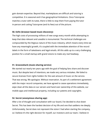gain domain expertise. Beyond that, marketplaces are difficult and tutoring is competitive. It is seasonal and it has geographical limitations. Once Tutorspree matches a tutor with its tutee, there is little to stop them from paying the tutor in-person and cutting Tutorspree (and its fees) out of the picture.

## <span id="page-23-0"></span>**50. Exfm (browser-based music discovery)**

The high costs of processing millions of new songs every month while attempting to keep that data relevant and useable is monumental. The technical challenges are compounded by the litigious nature of the music industry, which means every time we have any meaningful growth, it's coupled with the immediate attention of the record labels in the form of takedowns and legal emails. All this adds up to a very challenging position for a small startup with grand visions to make any real headway.

## <span id="page-23-1"></span>**51. Grooveshark (music-sharing service)**

We started out nearly ten years ago with the goal of helping fans share and discover music. But despite best of intentions, we made very serious mistakes. We failed to secure licenses from rights holders for the vast amount of music on the service. That was wrong. We apologize. Without reservation. As part of a settlement agreement with the major record companies, we have agreed to cease operations immediately, wipe clean all the data on our servers and hand over ownership of this website, our mobile apps and intellectual property, including our patents and copyrights.

## <span id="page-23-2"></span>**52. Secret (anonymous sharing app)**

After a lot of thought and consultation with our board, I've decided to shut down Secret. This has been the hardest decision of my life and one that saddens me deeply. Unfortunately, Secret does not represent the vision I had when starting the company, so I believe it's the right decision for myself, our investors and our team. I believe in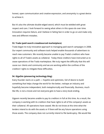honest, open communication and creative expression, and anonymity is a great device to achieve it.

But it's also the ultimate double-edged sword, which must be wielded with great respect and care. I look forward to seeing what others in this space do over time. Innovation requires failure, and I believe in failing fast in order to go on and make only new and different mistakes.

## <span id="page-24-0"></span>**53. Trada (paid search crowdsourced marketplace)**

Trada began its truly innovative approach to managing paid search campaigns in 2008. Our expert community and software tools helped enable thousands of advertisers to reach new customers. We recently became unable to pay Trada's creditors who have rights to all of Trada's assets as collateral. Today these creditors have instructed us to cease operations of the Trada marketplace. We truly regret the difficulty that this will cause our clients and community and we are working within the confines of the creditors' rights to mitigate these difficulties.

## <span id="page-24-1"></span>**54. GigaOm (pioneering technology blog)**

Every founder starts on a path — hopeful and optimistic, full of desire to build something that helps change the world for the better, reshape an industry and hopefully become independent, both metaphorically and financially. Business, much like life, is not a movie and not everyone gets to have a story book ending.

Gigaom recently became unable to pay its creditors in full at this time. As a result, the company is working with its creditors that have rights to all of the company's assets as their collateral. All operations have ceased. We do not know at this time what the lenders intend to do with the assets or if there will be any future operations using those assets. The company does not currently intend to file bankruptcy. We would like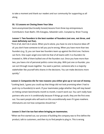to take a moment and thank our readers and our community for supporting us all along.

#### <span id="page-25-0"></span>**55. 12 Lessons on Closing Down Your Idea**

Semi-anonymized (but brutally honest) lessons from three top entrepreneurs Contributors: Evan Baehr, Ofo Ezeugwu, Sebastián León. Compiled by: Brian Truong

## **Lesson 1: Two founders is the best number of founders (not one, not three, and most definitely not five).**

"First of all, don't do it alone. When you're alone, you have no one to bounce ideas off of; you don't have someone to tell you you're wrong. When you have more than two founders (e.g. 3), you can have two founders team up against the third one. Factions can form. One super-angel once told me that of all teams with 3 co-founders he invested in, 90% of them bullied one of the founders out. Once you have more than two, you have a lot of personal politics come into play. With just one co-founder, you can sort through issues together. You want a partner, someone who is a majority stakeholder like yourself who shares in the decisions. You can make decisions more quickly."

## **Lesson 2: Companies die for two reasons: you either give up or run out of money.**

"Looking back, I guess you could say that things did not look promising when I had to push my co-founder(s) to work. If your teammates judge whether they will stay based on hitting certain benchmarks month to month, it won't work out. You can't really have partners who are in it conditionally because if things go south, they are the first ones out. You want people who will work on this unconditionally even if it goes nowhere. Ultimatums are not how companies should live."

## **Lesson 3: Don't be too fast when bringing on teammates.**

"When we first started out, our process of building the company was to first define the product, talk to customers, and then try to find people to plug in. This is wrong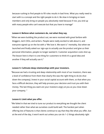because rushing to find people to fill roles results in bad hires. What you really need to start with is a concept and the right people to do it. Be slow in bringing on team members and only bring on people you absolutely need because if not, you end up with many people who can't execute but that you have to manage"

#### **Lesson 4: Believe what customers do, not what they say.**

"When we were building the product out, we were received with great fanfare with bloggers, tech CEOs, and writers. People were really excited to talk about it, and everyone signed up on the list with a "We love it. We want it." mentality. But when we launched and finally asked our sign-ups to actually use the product and give us their personal information, people no longer wanted it. Customer acquisition costs shot up. The lesson here is that it is one thing for customers to think it's a good idea and another if they will actually use it."

## **Lesson 5: Cultivate deep relationships with your investors.**

"Because we had a trusting and deep relationship with most of our investors, there was a level of confidence from them that clearly this was the right thing to do [to shut down the company]. Invest in your social capital account with them, so that when you face a difficult decision, they will help process your decision and trust you with their money. The last thing you want are your investors angry at you as you close down your company. "

## **Lesson 6: Limit what you offer.**

"We failed in that we tried to tune our product to everything we thought the client needed rather than what we ourselves could build well. The hardest part when offering lots of features is that clients continue to say that they like what you offer, but at the end of the day, it won't work out unless you can do 1–2 things absolutely right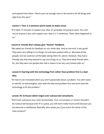and expand from there. There's just not enough time in the world to do 40 things well right from the start."

## **Lesson 7: Your 2–3 sentence pitch needs to make sense.**

"If it takes 15 minutes to explain your idea, it's probably not going to work. You can't recruit anyone if you can't explain your idea in 2–3 sentences. That's what happened to us."

## **Lesson 8: Friends don't always give "honest" feedback.**

"We asked our friends for feedback on our initial idea. And on one end, it was great! They were very willing to try things out and were patient with us. We knew all the people, and we could be comfortable asking them for advice. However, they had a friendly bias that they wanted to say nice things to us. They were what friends were for, but they were not people who had a reason to be very very honest with us."

# **Lesson 9: Starting with the technology first rather than problem first is a bad idea.**

"It's hard to be motivated when you aren't passionate about a problem. You don't want to retrofit. As technologists, start with the idea and problem first and work back the technology to fix the problem."

## **Lesson 10: In-house talent reigns over outsourced consultants.**

"Don't ever outsource your main functionality. Your core product or service shouldn't be outsourced because even if it is great, you still won't make much profit because you just become a middleman. Basically, who needs you if you aren't the driver of the main product?"